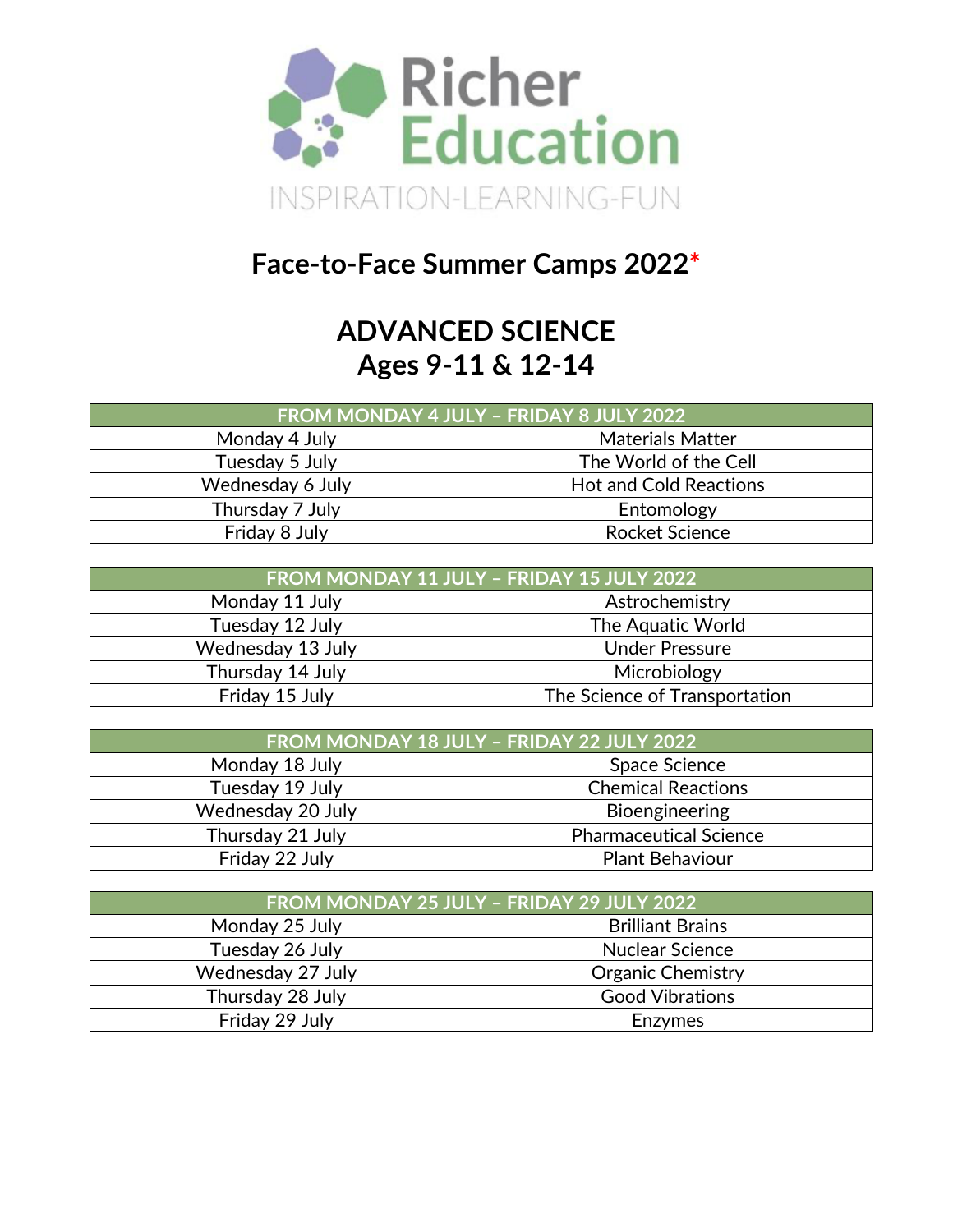

## **Face-to-Face Summer Camps 2022\***

## **ADVANCED SCIENCE Ages 9-11 & 12-14**

| FROM MONDAY 4 JULY - FRIDAY 8 JULY 2022 |                               |  |
|-----------------------------------------|-------------------------------|--|
| Monday 4 July                           | <b>Materials Matter</b>       |  |
| Tuesday 5 July                          | The World of the Cell         |  |
| Wednesday 6 July                        | <b>Hot and Cold Reactions</b> |  |
| Thursday 7 July                         | Entomology                    |  |
| Friday 8 July                           | <b>Rocket Science</b>         |  |

| FROM MONDAY 11 JULY - FRIDAY 15 JULY 2022 |                               |  |
|-------------------------------------------|-------------------------------|--|
| Monday 11 July<br>Astrochemistry          |                               |  |
| Tuesday 12 July                           | The Aquatic World             |  |
| Wednesday 13 July                         | <b>Under Pressure</b>         |  |
| Thursday 14 July                          | Microbiology                  |  |
| Friday 15 July                            | The Science of Transportation |  |

| FROM MONDAY 18 JULY - FRIDAY 22 JULY 2022 |                               |  |
|-------------------------------------------|-------------------------------|--|
| Monday 18 July<br>Space Science           |                               |  |
| Tuesday 19 July                           | <b>Chemical Reactions</b>     |  |
| Wednesday 20 July                         | Bioengineering                |  |
| Thursday 21 July                          | <b>Pharmaceutical Science</b> |  |
| Friday 22 July                            | <b>Plant Behaviour</b>        |  |

| FROM MONDAY 25 JULY - FRIDAY 29 JULY 2022 |                          |  |
|-------------------------------------------|--------------------------|--|
| Monday 25 July                            | <b>Brilliant Brains</b>  |  |
| Tuesday 26 July                           | <b>Nuclear Science</b>   |  |
| Wednesday 27 July                         | <b>Organic Chemistry</b> |  |
| Thursday 28 July                          | <b>Good Vibrations</b>   |  |
| Friday 29 July                            | <b>Enzymes</b>           |  |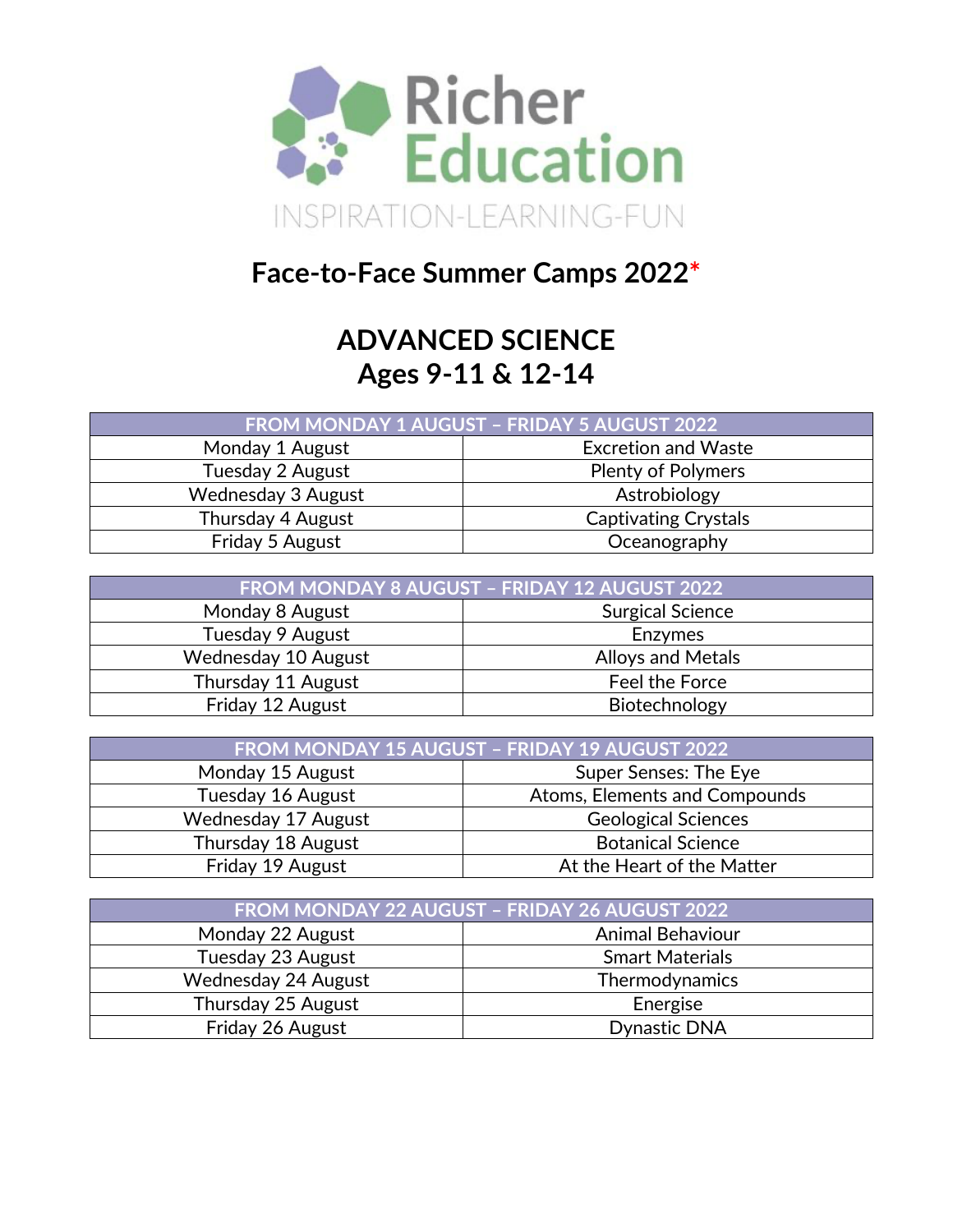

## **Face-to-Face Summer Camps 2022\***

#### **ADVANCED SCIENCE Ages 9-11 & 12-14**

| <b>FROM MONDAY 1 AUGUST - FRIDAY 5 AUGUST 2022</b> |                             |  |
|----------------------------------------------------|-----------------------------|--|
| <b>Excretion and Waste</b><br>Monday 1 August      |                             |  |
| Tuesday 2 August<br><b>Plenty of Polymers</b>      |                             |  |
| Wednesday 3 August                                 | Astrobiology                |  |
| Thursday 4 August                                  | <b>Captivating Crystals</b> |  |
| Friday 5 August                                    | Oceanography                |  |

| FROM MONDAY 8 AUGUST - FRIDAY 12 AUGUST 2022 |                          |  |
|----------------------------------------------|--------------------------|--|
| Monday 8 August                              | <b>Surgical Science</b>  |  |
| Tuesday 9 August                             | <b>Enzymes</b>           |  |
| Wednesday 10 August                          | <b>Alloys and Metals</b> |  |
| Thursday 11 August                           | Feel the Force           |  |
| Friday 12 August                             | Biotechnology            |  |

| FROM MONDAY 15 AUGUST - FRIDAY 19 AUGUST 2022      |                          |  |
|----------------------------------------------------|--------------------------|--|
| Super Senses: The Eye<br>Monday 15 August          |                          |  |
| Tuesday 16 August<br>Atoms, Elements and Compounds |                          |  |
| Wednesday 17 August<br><b>Geological Sciences</b>  |                          |  |
| Thursday 18 August                                 | <b>Botanical Science</b> |  |
| Friday 19 August<br>At the Heart of the Matter     |                          |  |

| FROM MONDAY 22 AUGUST - FRIDAY 26 AUGUST 2022 |                         |  |
|-----------------------------------------------|-------------------------|--|
| Monday 22 August                              | <b>Animal Behaviour</b> |  |
| Tuesday 23 August<br><b>Smart Materials</b>   |                         |  |
| Wednesday 24 August                           | Thermodynamics          |  |
| Thursday 25 August                            | Energise                |  |
| Friday 26 August                              | <b>Dynastic DNA</b>     |  |